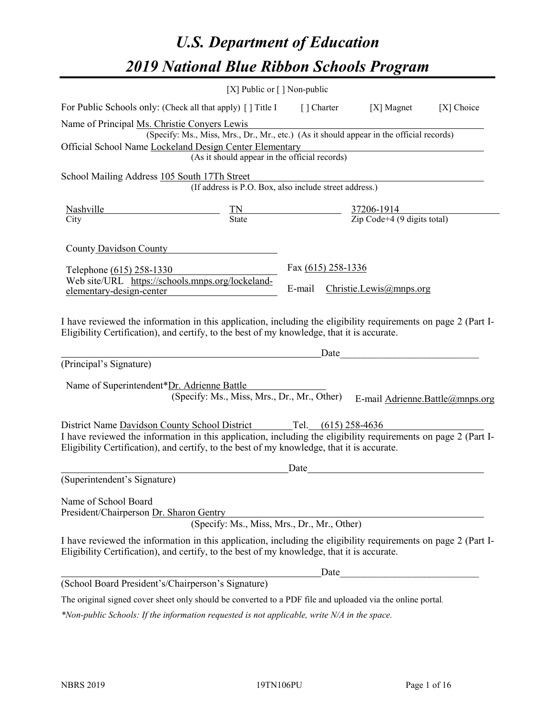# *U.S. Department of Education 2019 National Blue Ribbon Schools Program*

|                                                                                                                                                                                                                                                                                       | [X] Public or $\lceil$ ] Non-public                                                                                                       |                                |      |                                                                                                                                                                                                                                                                  |            |
|---------------------------------------------------------------------------------------------------------------------------------------------------------------------------------------------------------------------------------------------------------------------------------------|-------------------------------------------------------------------------------------------------------------------------------------------|--------------------------------|------|------------------------------------------------------------------------------------------------------------------------------------------------------------------------------------------------------------------------------------------------------------------|------------|
| For Public Schools only: (Check all that apply) [] Title I [] Charter [X] Magnet                                                                                                                                                                                                      |                                                                                                                                           |                                |      |                                                                                                                                                                                                                                                                  | [X] Choice |
| Name of Principal Ms. Christie Conyers Lewis<br>Official School Name Lockeland Design Center Elementary                                                                                                                                                                               | (Specify: Ms., Miss, Mrs., Dr., Mr., etc.) (As it should appear in the official records)<br>(As it should appear in the official records) |                                |      |                                                                                                                                                                                                                                                                  |            |
| School Mailing Address 105 South 17Th Street                                                                                                                                                                                                                                          | (If address is P.O. Box, also include street address.)                                                                                    |                                |      |                                                                                                                                                                                                                                                                  |            |
| <b>Nashville</b><br>City                                                                                                                                                                                                                                                              | $\frac{TN}{\text{State}}$ $\frac{37206-1914}{\text{Zip Code}+4 (9 \text{ digits total})}$                                                 |                                |      |                                                                                                                                                                                                                                                                  |            |
| County Davidson County                                                                                                                                                                                                                                                                |                                                                                                                                           |                                |      |                                                                                                                                                                                                                                                                  |            |
| Telephone (615) 258-1330                                                                                                                                                                                                                                                              |                                                                                                                                           | Fax (615) 258-1336             |      |                                                                                                                                                                                                                                                                  |            |
| Web site/URL https://schools.mnps.org/lockeland-<br>elementary-design-center                                                                                                                                                                                                          |                                                                                                                                           | E-mail Christie.Lewis@mnps.org |      |                                                                                                                                                                                                                                                                  |            |
| I have reviewed the information in this application, including the eligibility requirements on page 2 (Part I-<br>Eligibility Certification), and certify, to the best of my knowledge, that it is accurate.<br>(Principal's Signature)<br>Name of Superintendent*Dr. Adrienne Battle | (Specify: Ms., Miss, Mrs., Dr., Mr., Other)                                                                                               |                                |      | Date and the set of the set of the set of the set of the set of the set of the set of the set of the set of the set of the set of the set of the set of the set of the set of the set of the set of the set of the set of the<br>E-mail Adrienne.Battle@mnps.org |            |
| District Name Davidson County School District Tel. (615) 258-4636                                                                                                                                                                                                                     |                                                                                                                                           |                                |      |                                                                                                                                                                                                                                                                  |            |
| I have reviewed the information in this application, including the eligibility requirements on page 2 (Part I-<br>Eligibility Certification), and certify, to the best of my knowledge, that it is accurate.                                                                          |                                                                                                                                           |                                |      |                                                                                                                                                                                                                                                                  |            |
| (Superintendent's Signature)                                                                                                                                                                                                                                                          |                                                                                                                                           | Date                           |      |                                                                                                                                                                                                                                                                  |            |
| Name of School Board<br>President/Chairperson Dr. Sharon Gentry                                                                                                                                                                                                                       | (Specify: Ms., Miss, Mrs., Dr., Mr., Other)                                                                                               |                                |      |                                                                                                                                                                                                                                                                  |            |
| I have reviewed the information in this application, including the eligibility requirements on page 2 (Part I-<br>Eligibility Certification), and certify, to the best of my knowledge, that it is accurate.                                                                          |                                                                                                                                           |                                |      |                                                                                                                                                                                                                                                                  |            |
|                                                                                                                                                                                                                                                                                       |                                                                                                                                           |                                | Date |                                                                                                                                                                                                                                                                  |            |
| (School Board President's/Chairperson's Signature)                                                                                                                                                                                                                                    |                                                                                                                                           |                                |      |                                                                                                                                                                                                                                                                  |            |
| The original signed cover sheet only should be converted to a PDF file and uploaded via the online portal.                                                                                                                                                                            |                                                                                                                                           |                                |      |                                                                                                                                                                                                                                                                  |            |

*\*Non-public Schools: If the information requested is not applicable, write N/A in the space.*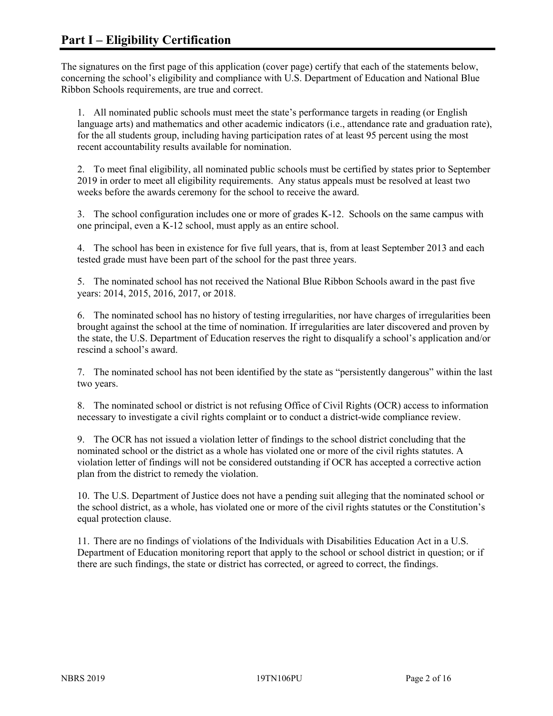The signatures on the first page of this application (cover page) certify that each of the statements below, concerning the school's eligibility and compliance with U.S. Department of Education and National Blue Ribbon Schools requirements, are true and correct.

1. All nominated public schools must meet the state's performance targets in reading (or English language arts) and mathematics and other academic indicators (i.e., attendance rate and graduation rate), for the all students group, including having participation rates of at least 95 percent using the most recent accountability results available for nomination.

2. To meet final eligibility, all nominated public schools must be certified by states prior to September 2019 in order to meet all eligibility requirements. Any status appeals must be resolved at least two weeks before the awards ceremony for the school to receive the award.

3. The school configuration includes one or more of grades K-12. Schools on the same campus with one principal, even a K-12 school, must apply as an entire school.

4. The school has been in existence for five full years, that is, from at least September 2013 and each tested grade must have been part of the school for the past three years.

5. The nominated school has not received the National Blue Ribbon Schools award in the past five years: 2014, 2015, 2016, 2017, or 2018.

6. The nominated school has no history of testing irregularities, nor have charges of irregularities been brought against the school at the time of nomination. If irregularities are later discovered and proven by the state, the U.S. Department of Education reserves the right to disqualify a school's application and/or rescind a school's award.

7. The nominated school has not been identified by the state as "persistently dangerous" within the last two years.

8. The nominated school or district is not refusing Office of Civil Rights (OCR) access to information necessary to investigate a civil rights complaint or to conduct a district-wide compliance review.

9. The OCR has not issued a violation letter of findings to the school district concluding that the nominated school or the district as a whole has violated one or more of the civil rights statutes. A violation letter of findings will not be considered outstanding if OCR has accepted a corrective action plan from the district to remedy the violation.

10. The U.S. Department of Justice does not have a pending suit alleging that the nominated school or the school district, as a whole, has violated one or more of the civil rights statutes or the Constitution's equal protection clause.

11. There are no findings of violations of the Individuals with Disabilities Education Act in a U.S. Department of Education monitoring report that apply to the school or school district in question; or if there are such findings, the state or district has corrected, or agreed to correct, the findings.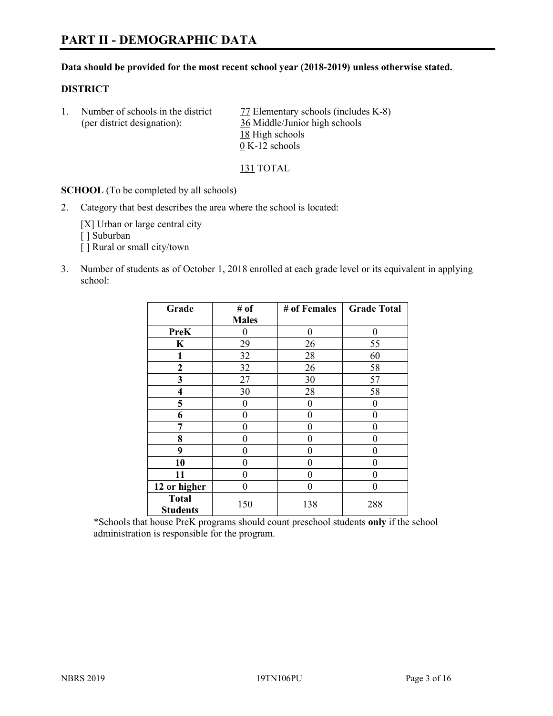#### **Data should be provided for the most recent school year (2018-2019) unless otherwise stated.**

#### **DISTRICT**

1. Number of schools in the district 77 Elementary schools (includes K-8) (per district designation): 36 Middle/Junior high schools 18 High schools 0 K-12 schools

#### 131 TOTAL

**SCHOOL** (To be completed by all schools)

2. Category that best describes the area where the school is located:

[X] Urban or large central city [ ] Suburban [] Rural or small city/town

3. Number of students as of October 1, 2018 enrolled at each grade level or its equivalent in applying school:

| Grade           | # of         | # of Females | <b>Grade Total</b> |
|-----------------|--------------|--------------|--------------------|
|                 | <b>Males</b> |              |                    |
| <b>PreK</b>     | 0            | $\theta$     | 0                  |
| $\mathbf K$     | 29           | 26           | 55                 |
| 1               | 32           | 28           | 60                 |
| 2               | 32           | 26           | 58                 |
| 3               | 27           | 30           | 57                 |
| 4               | 30           | 28           | 58                 |
| 5               | 0            | 0            | $\theta$           |
| 6               | 0            | $\theta$     | 0                  |
| 7               | 0            | 0            | 0                  |
| 8               | 0            | 0            | 0                  |
| 9               | 0            | 0            | 0                  |
| 10              | 0            | 0            | 0                  |
| 11              | $\theta$     | 0            | 0                  |
| 12 or higher    | 0            | 0            | 0                  |
| <b>Total</b>    | 150          | 138          | 288                |
| <b>Students</b> |              |              |                    |

\*Schools that house PreK programs should count preschool students **only** if the school administration is responsible for the program.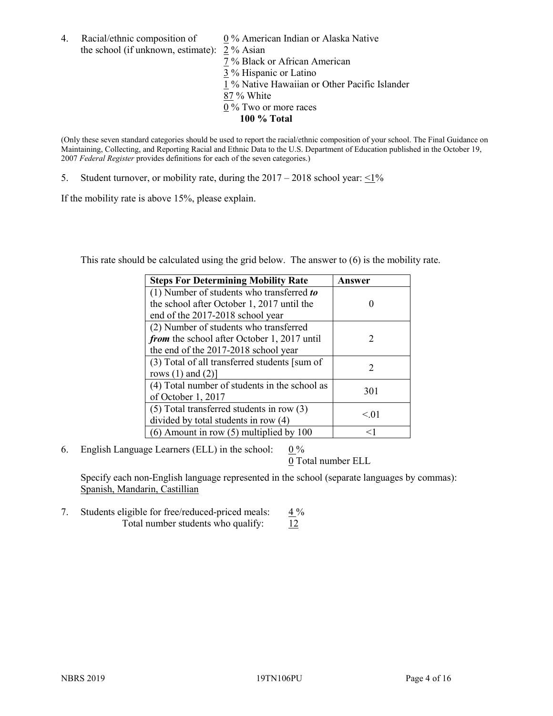4. Racial/ethnic composition of  $0\%$  American Indian or Alaska Native the school (if unknown, estimate): 2 % Asian

 % Black or African American % Hispanic or Latino % Native Hawaiian or Other Pacific Islander 87 % White % Two or more races **100 % Total**

(Only these seven standard categories should be used to report the racial/ethnic composition of your school. The Final Guidance on Maintaining, Collecting, and Reporting Racial and Ethnic Data to the U.S. Department of Education published in the October 19, 2007 *Federal Register* provides definitions for each of the seven categories.)

5. Student turnover, or mobility rate, during the  $2017 - 2018$  school year:  $\leq 1\%$ 

If the mobility rate is above 15%, please explain.

This rate should be calculated using the grid below. The answer to (6) is the mobility rate.

| <b>Steps For Determining Mobility Rate</b>         | Answer                      |
|----------------------------------------------------|-----------------------------|
| (1) Number of students who transferred to          |                             |
| the school after October 1, 2017 until the         |                             |
| end of the 2017-2018 school year                   |                             |
| (2) Number of students who transferred             |                             |
| <i>from</i> the school after October 1, 2017 until | $\mathcal{D}_{\mathcal{L}}$ |
| the end of the 2017-2018 school year               |                             |
| (3) Total of all transferred students [sum of      |                             |
| rows $(1)$ and $(2)$ ]                             | 2                           |
| (4) Total number of students in the school as      |                             |
| of October 1, 2017                                 | 301                         |
| $(5)$ Total transferred students in row $(3)$      |                             |
| divided by total students in row (4)               | < 0.01                      |
| (6) Amount in row (5) multiplied by 100            | <1                          |

6. English Language Learners (ELL) in the school:  $0\%$ 

0 Total number ELL

Specify each non-English language represented in the school (separate languages by commas): Spanish, Mandarin, Castillian

7. Students eligible for free/reduced-priced meals:  $4\%$ Total number students who qualify:  $12$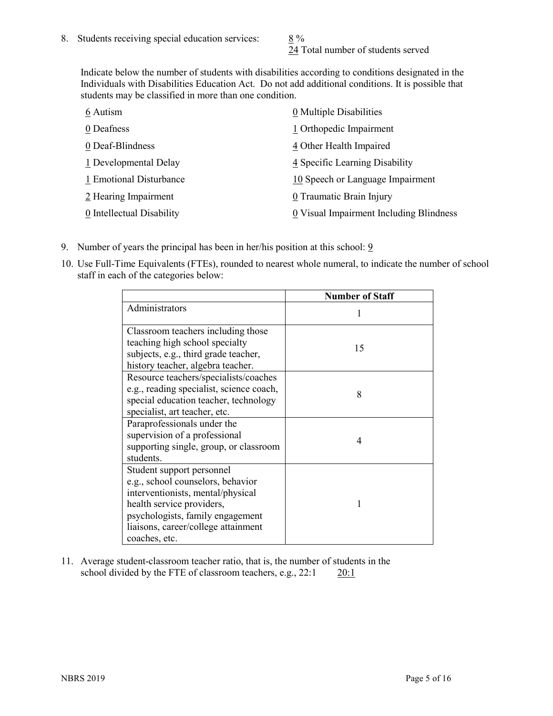24 Total number of students served

Indicate below the number of students with disabilities according to conditions designated in the Individuals with Disabilities Education Act. Do not add additional conditions. It is possible that students may be classified in more than one condition.

| 6 Autism                  | 0 Multiple Disabilities                 |
|---------------------------|-----------------------------------------|
| 0 Deafness                | 1 Orthopedic Impairment                 |
| 0 Deaf-Blindness          | 4 Other Health Impaired                 |
| 1 Developmental Delay     | 4 Specific Learning Disability          |
| 1 Emotional Disturbance   | 10 Speech or Language Impairment        |
| 2 Hearing Impairment      | 0 Traumatic Brain Injury                |
| 0 Intellectual Disability | 0 Visual Impairment Including Blindness |

- 9. Number of years the principal has been in her/his position at this school:  $9$
- 10. Use Full-Time Equivalents (FTEs), rounded to nearest whole numeral, to indicate the number of school staff in each of the categories below:

|                                                                                                                                                                                                                              | <b>Number of Staff</b> |
|------------------------------------------------------------------------------------------------------------------------------------------------------------------------------------------------------------------------------|------------------------|
| Administrators                                                                                                                                                                                                               |                        |
| Classroom teachers including those<br>teaching high school specialty<br>subjects, e.g., third grade teacher,<br>history teacher, algebra teacher.                                                                            | 15                     |
| Resource teachers/specialists/coaches<br>e.g., reading specialist, science coach,<br>special education teacher, technology<br>specialist, art teacher, etc.                                                                  | 8                      |
| Paraprofessionals under the<br>supervision of a professional<br>supporting single, group, or classroom<br>students.                                                                                                          | 4                      |
| Student support personnel<br>e.g., school counselors, behavior<br>interventionists, mental/physical<br>health service providers,<br>psychologists, family engagement<br>liaisons, career/college attainment<br>coaches, etc. |                        |

11. Average student-classroom teacher ratio, that is, the number of students in the school divided by the FTE of classroom teachers, e.g., 22:1 20:1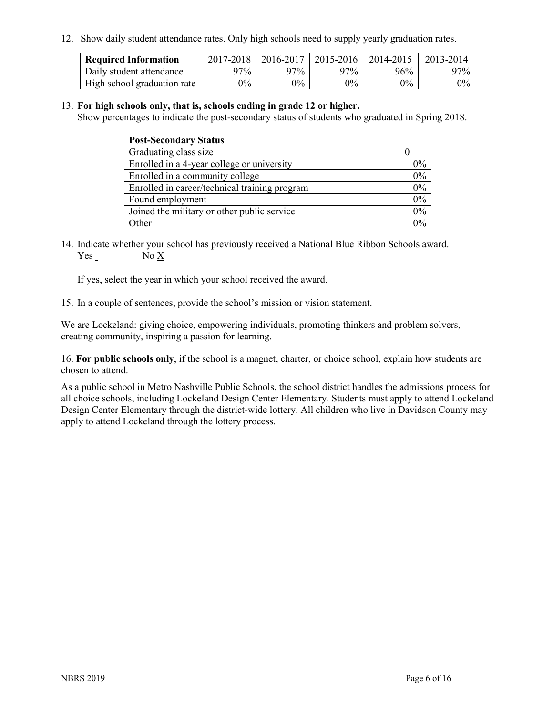12. Show daily student attendance rates. Only high schools need to supply yearly graduation rates.

| <b>Required Information</b> | 2017-2018 | 2016-2017 | 2015-2016 | 2014-2015 | 2013-2014 |
|-----------------------------|-----------|-----------|-----------|-----------|-----------|
| Daily student attendance    | 97%       | 97%       | 97%       | 96%       | $97\%$    |
| High school graduation rate | $0\%$     | $0\%$     | $0\%$     | $9\%$     | $0\%$     |

#### 13. **For high schools only, that is, schools ending in grade 12 or higher.**

Show percentages to indicate the post-secondary status of students who graduated in Spring 2018.

| <b>Post-Secondary Status</b>                  |       |
|-----------------------------------------------|-------|
| Graduating class size                         |       |
| Enrolled in a 4-year college or university    | $0\%$ |
| Enrolled in a community college               | 0%    |
| Enrolled in career/technical training program | 0%    |
| Found employment                              | 0%    |
| Joined the military or other public service   | 0%    |
| Other                                         | $0\%$ |

14. Indicate whether your school has previously received a National Blue Ribbon Schools award. Yes No X

If yes, select the year in which your school received the award.

15. In a couple of sentences, provide the school's mission or vision statement.

We are Lockeland: giving choice, empowering individuals, promoting thinkers and problem solvers, creating community, inspiring a passion for learning.

16. **For public schools only**, if the school is a magnet, charter, or choice school, explain how students are chosen to attend.

As a public school in Metro Nashville Public Schools, the school district handles the admissions process for all choice schools, including Lockeland Design Center Elementary. Students must apply to attend Lockeland Design Center Elementary through the district-wide lottery. All children who live in Davidson County may apply to attend Lockeland through the lottery process.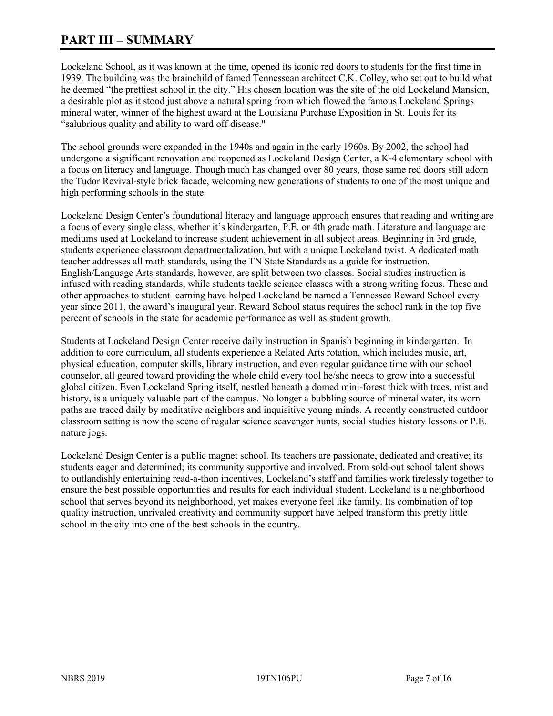# **PART III – SUMMARY**

Lockeland School, as it was known at the time, opened its iconic red doors to students for the first time in 1939. The building was the brainchild of famed Tennessean architect C.K. Colley, who set out to build what he deemed "the prettiest school in the city." His chosen location was the site of the old Lockeland Mansion, a desirable plot as it stood just above a natural spring from which flowed the famous Lockeland Springs mineral water, winner of the highest award at the Louisiana Purchase Exposition in St. Louis for its "salubrious quality and ability to ward off disease."

The school grounds were expanded in the 1940s and again in the early 1960s. By 2002, the school had undergone a significant renovation and reopened as Lockeland Design Center, a K-4 elementary school with a focus on literacy and language. Though much has changed over 80 years, those same red doors still adorn the Tudor Revival-style brick facade, welcoming new generations of students to one of the most unique and high performing schools in the state.

Lockeland Design Center's foundational literacy and language approach ensures that reading and writing are a focus of every single class, whether it's kindergarten, P.E. or 4th grade math. Literature and language are mediums used at Lockeland to increase student achievement in all subject areas. Beginning in 3rd grade, students experience classroom departmentalization, but with a unique Lockeland twist. A dedicated math teacher addresses all math standards, using the TN State Standards as a guide for instruction. English/Language Arts standards, however, are split between two classes. Social studies instruction is infused with reading standards, while students tackle science classes with a strong writing focus. These and other approaches to student learning have helped Lockeland be named a Tennessee Reward School every year since 2011, the award's inaugural year. Reward School status requires the school rank in the top five percent of schools in the state for academic performance as well as student growth.

Students at Lockeland Design Center receive daily instruction in Spanish beginning in kindergarten. In addition to core curriculum, all students experience a Related Arts rotation, which includes music, art, physical education, computer skills, library instruction, and even regular guidance time with our school counselor, all geared toward providing the whole child every tool he/she needs to grow into a successful global citizen. Even Lockeland Spring itself, nestled beneath a domed mini-forest thick with trees, mist and history, is a uniquely valuable part of the campus. No longer a bubbling source of mineral water, its worn paths are traced daily by meditative neighbors and inquisitive young minds. A recently constructed outdoor classroom setting is now the scene of regular science scavenger hunts, social studies history lessons or P.E. nature jogs.

Lockeland Design Center is a public magnet school. Its teachers are passionate, dedicated and creative; its students eager and determined; its community supportive and involved. From sold-out school talent shows to outlandishly entertaining read-a-thon incentives, Lockeland's staff and families work tirelessly together to ensure the best possible opportunities and results for each individual student. Lockeland is a neighborhood school that serves beyond its neighborhood, yet makes everyone feel like family. Its combination of top quality instruction, unrivaled creativity and community support have helped transform this pretty little school in the city into one of the best schools in the country.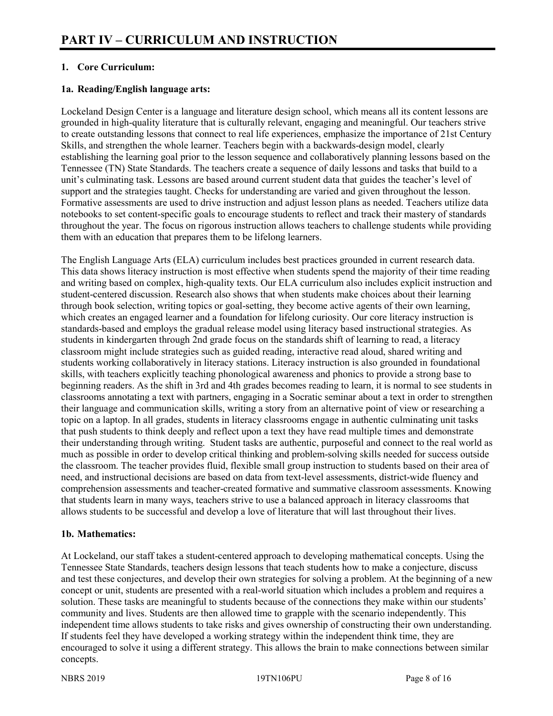# **1. Core Curriculum:**

# **1a. Reading/English language arts:**

Lockeland Design Center is a language and literature design school, which means all its content lessons are grounded in high-quality literature that is culturally relevant, engaging and meaningful. Our teachers strive to create outstanding lessons that connect to real life experiences, emphasize the importance of 21st Century Skills, and strengthen the whole learner. Teachers begin with a backwards-design model, clearly establishing the learning goal prior to the lesson sequence and collaboratively planning lessons based on the Tennessee (TN) State Standards. The teachers create a sequence of daily lessons and tasks that build to a unit's culminating task. Lessons are based around current student data that guides the teacher's level of support and the strategies taught. Checks for understanding are varied and given throughout the lesson. Formative assessments are used to drive instruction and adjust lesson plans as needed. Teachers utilize data notebooks to set content-specific goals to encourage students to reflect and track their mastery of standards throughout the year. The focus on rigorous instruction allows teachers to challenge students while providing them with an education that prepares them to be lifelong learners.

The English Language Arts (ELA) curriculum includes best practices grounded in current research data. This data shows literacy instruction is most effective when students spend the majority of their time reading and writing based on complex, high-quality texts. Our ELA curriculum also includes explicit instruction and student-centered discussion. Research also shows that when students make choices about their learning through book selection, writing topics or goal-setting, they become active agents of their own learning, which creates an engaged learner and a foundation for lifelong curiosity. Our core literacy instruction is standards-based and employs the gradual release model using literacy based instructional strategies. As students in kindergarten through 2nd grade focus on the standards shift of learning to read, a literacy classroom might include strategies such as guided reading, interactive read aloud, shared writing and students working collaboratively in literacy stations. Literacy instruction is also grounded in foundational skills, with teachers explicitly teaching phonological awareness and phonics to provide a strong base to beginning readers. As the shift in 3rd and 4th grades becomes reading to learn, it is normal to see students in classrooms annotating a text with partners, engaging in a Socratic seminar about a text in order to strengthen their language and communication skills, writing a story from an alternative point of view or researching a topic on a laptop. In all grades, students in literacy classrooms engage in authentic culminating unit tasks that push students to think deeply and reflect upon a text they have read multiple times and demonstrate their understanding through writing. Student tasks are authentic, purposeful and connect to the real world as much as possible in order to develop critical thinking and problem-solving skills needed for success outside the classroom. The teacher provides fluid, flexible small group instruction to students based on their area of need, and instructional decisions are based on data from text-level assessments, district-wide fluency and comprehension assessments and teacher-created formative and summative classroom assessments. Knowing that students learn in many ways, teachers strive to use a balanced approach in literacy classrooms that allows students to be successful and develop a love of literature that will last throughout their lives.

#### **1b. Mathematics:**

At Lockeland, our staff takes a student-centered approach to developing mathematical concepts. Using the Tennessee State Standards, teachers design lessons that teach students how to make a conjecture, discuss and test these conjectures, and develop their own strategies for solving a problem. At the beginning of a new concept or unit, students are presented with a real-world situation which includes a problem and requires a solution. These tasks are meaningful to students because of the connections they make within our students' community and lives. Students are then allowed time to grapple with the scenario independently. This independent time allows students to take risks and gives ownership of constructing their own understanding. If students feel they have developed a working strategy within the independent think time, they are encouraged to solve it using a different strategy. This allows the brain to make connections between similar concepts.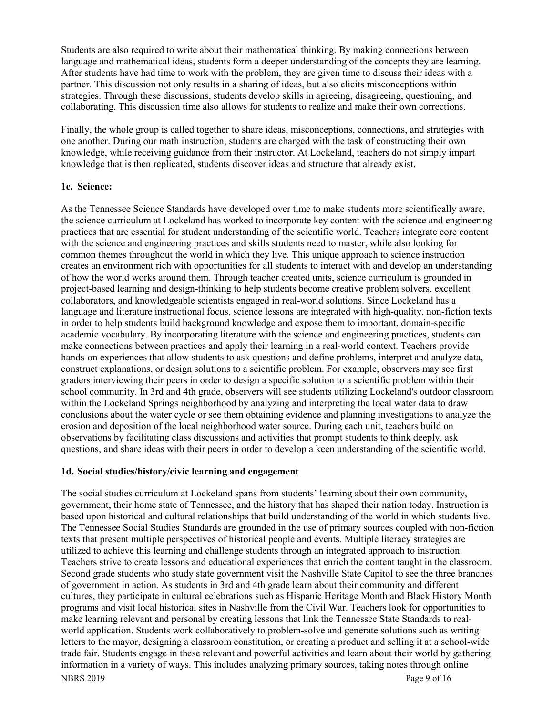Students are also required to write about their mathematical thinking. By making connections between language and mathematical ideas, students form a deeper understanding of the concepts they are learning. After students have had time to work with the problem, they are given time to discuss their ideas with a partner. This discussion not only results in a sharing of ideas, but also elicits misconceptions within strategies. Through these discussions, students develop skills in agreeing, disagreeing, questioning, and collaborating. This discussion time also allows for students to realize and make their own corrections.

Finally, the whole group is called together to share ideas, misconceptions, connections, and strategies with one another. During our math instruction, students are charged with the task of constructing their own knowledge, while receiving guidance from their instructor. At Lockeland, teachers do not simply impart knowledge that is then replicated, students discover ideas and structure that already exist.

#### **1c. Science:**

As the Tennessee Science Standards have developed over time to make students more scientifically aware, the science curriculum at Lockeland has worked to incorporate key content with the science and engineering practices that are essential for student understanding of the scientific world. Teachers integrate core content with the science and engineering practices and skills students need to master, while also looking for common themes throughout the world in which they live. This unique approach to science instruction creates an environment rich with opportunities for all students to interact with and develop an understanding of how the world works around them. Through teacher created units, science curriculum is grounded in project-based learning and design-thinking to help students become creative problem solvers, excellent collaborators, and knowledgeable scientists engaged in real-world solutions. Since Lockeland has a language and literature instructional focus, science lessons are integrated with high-quality, non-fiction texts in order to help students build background knowledge and expose them to important, domain-specific academic vocabulary. By incorporating literature with the science and engineering practices, students can make connections between practices and apply their learning in a real-world context. Teachers provide hands-on experiences that allow students to ask questions and define problems, interpret and analyze data, construct explanations, or design solutions to a scientific problem. For example, observers may see first graders interviewing their peers in order to design a specific solution to a scientific problem within their school community. In 3rd and 4th grade, observers will see students utilizing Lockeland's outdoor classroom within the Lockeland Springs neighborhood by analyzing and interpreting the local water data to draw conclusions about the water cycle or see them obtaining evidence and planning investigations to analyze the erosion and deposition of the local neighborhood water source. During each unit, teachers build on observations by facilitating class discussions and activities that prompt students to think deeply, ask questions, and share ideas with their peers in order to develop a keen understanding of the scientific world.

#### **1d. Social studies/history/civic learning and engagement**

NBRS 2019 Page 9 of 16 The social studies curriculum at Lockeland spans from students' learning about their own community, government, their home state of Tennessee, and the history that has shaped their nation today. Instruction is based upon historical and cultural relationships that build understanding of the world in which students live. The Tennessee Social Studies Standards are grounded in the use of primary sources coupled with non-fiction texts that present multiple perspectives of historical people and events. Multiple literacy strategies are utilized to achieve this learning and challenge students through an integrated approach to instruction. Teachers strive to create lessons and educational experiences that enrich the content taught in the classroom. Second grade students who study state government visit the Nashville State Capitol to see the three branches of government in action. As students in 3rd and 4th grade learn about their community and different cultures, they participate in cultural celebrations such as Hispanic Heritage Month and Black History Month programs and visit local historical sites in Nashville from the Civil War. Teachers look for opportunities to make learning relevant and personal by creating lessons that link the Tennessee State Standards to realworld application. Students work collaboratively to problem-solve and generate solutions such as writing letters to the mayor, designing a classroom constitution, or creating a product and selling it at a school-wide trade fair. Students engage in these relevant and powerful activities and learn about their world by gathering information in a variety of ways. This includes analyzing primary sources, taking notes through online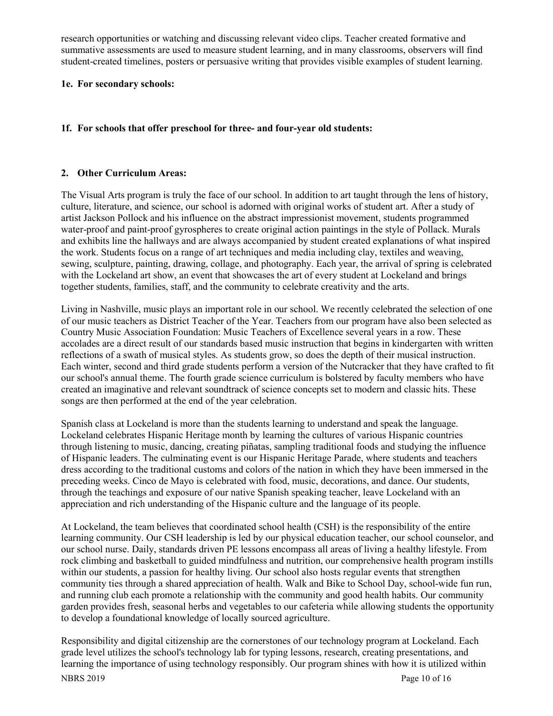research opportunities or watching and discussing relevant video clips. Teacher created formative and summative assessments are used to measure student learning, and in many classrooms, observers will find student-created timelines, posters or persuasive writing that provides visible examples of student learning.

#### **1e. For secondary schools:**

#### **1f. For schools that offer preschool for three- and four-year old students:**

#### **2. Other Curriculum Areas:**

The Visual Arts program is truly the face of our school. In addition to art taught through the lens of history, culture, literature, and science, our school is adorned with original works of student art. After a study of artist Jackson Pollock and his influence on the abstract impressionist movement, students programmed water-proof and paint-proof gyrospheres to create original action paintings in the style of Pollack. Murals and exhibits line the hallways and are always accompanied by student created explanations of what inspired the work. Students focus on a range of art techniques and media including clay, textiles and weaving, sewing, sculpture, painting, drawing, collage, and photography. Each year, the arrival of spring is celebrated with the Lockeland art show, an event that showcases the art of every student at Lockeland and brings together students, families, staff, and the community to celebrate creativity and the arts.

Living in Nashville, music plays an important role in our school. We recently celebrated the selection of one of our music teachers as District Teacher of the Year. Teachers from our program have also been selected as Country Music Association Foundation: Music Teachers of Excellence several years in a row. These accolades are a direct result of our standards based music instruction that begins in kindergarten with written reflections of a swath of musical styles. As students grow, so does the depth of their musical instruction. Each winter, second and third grade students perform a version of the Nutcracker that they have crafted to fit our school's annual theme. The fourth grade science curriculum is bolstered by faculty members who have created an imaginative and relevant soundtrack of science concepts set to modern and classic hits. These songs are then performed at the end of the year celebration.

Spanish class at Lockeland is more than the students learning to understand and speak the language. Lockeland celebrates Hispanic Heritage month by learning the cultures of various Hispanic countries through listening to music, dancing, creating piñatas, sampling traditional foods and studying the influence of Hispanic leaders. The culminating event is our Hispanic Heritage Parade, where students and teachers dress according to the traditional customs and colors of the nation in which they have been immersed in the preceding weeks. Cinco de Mayo is celebrated with food, music, decorations, and dance. Our students, through the teachings and exposure of our native Spanish speaking teacher, leave Lockeland with an appreciation and rich understanding of the Hispanic culture and the language of its people.

At Lockeland, the team believes that coordinated school health (CSH) is the responsibility of the entire learning community. Our CSH leadership is led by our physical education teacher, our school counselor, and our school nurse. Daily, standards driven PE lessons encompass all areas of living a healthy lifestyle. From rock climbing and basketball to guided mindfulness and nutrition, our comprehensive health program instills within our students, a passion for healthy living. Our school also hosts regular events that strengthen community ties through a shared appreciation of health. Walk and Bike to School Day, school-wide fun run, and running club each promote a relationship with the community and good health habits. Our community garden provides fresh, seasonal herbs and vegetables to our cafeteria while allowing students the opportunity to develop a foundational knowledge of locally sourced agriculture.

NBRS 2019 Page 10 of 16 Responsibility and digital citizenship are the cornerstones of our technology program at Lockeland. Each grade level utilizes the school's technology lab for typing lessons, research, creating presentations, and learning the importance of using technology responsibly. Our program shines with how it is utilized within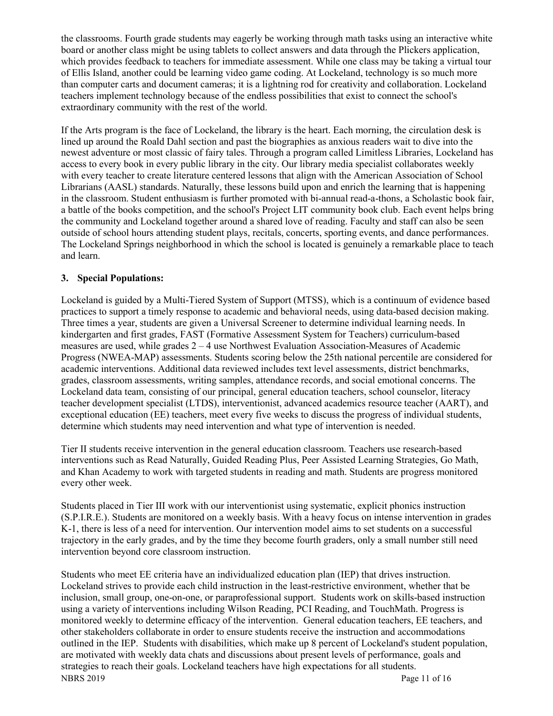the classrooms. Fourth grade students may eagerly be working through math tasks using an interactive white board or another class might be using tablets to collect answers and data through the Plickers application, which provides feedback to teachers for immediate assessment. While one class may be taking a virtual tour of Ellis Island, another could be learning video game coding. At Lockeland, technology is so much more than computer carts and document cameras; it is a lightning rod for creativity and collaboration. Lockeland teachers implement technology because of the endless possibilities that exist to connect the school's extraordinary community with the rest of the world.

If the Arts program is the face of Lockeland, the library is the heart. Each morning, the circulation desk is lined up around the Roald Dahl section and past the biographies as anxious readers wait to dive into the newest adventure or most classic of fairy tales. Through a program called Limitless Libraries, Lockeland has access to every book in every public library in the city. Our library media specialist collaborates weekly with every teacher to create literature centered lessons that align with the American Association of School Librarians (AASL) standards. Naturally, these lessons build upon and enrich the learning that is happening in the classroom. Student enthusiasm is further promoted with bi-annual read-a-thons, a Scholastic book fair, a battle of the books competition, and the school's Project LIT community book club. Each event helps bring the community and Lockeland together around a shared love of reading. Faculty and staff can also be seen outside of school hours attending student plays, recitals, concerts, sporting events, and dance performances. The Lockeland Springs neighborhood in which the school is located is genuinely a remarkable place to teach and learn.

## **3. Special Populations:**

Lockeland is guided by a Multi-Tiered System of Support (MTSS), which is a continuum of evidence based practices to support a timely response to academic and behavioral needs, using data-based decision making. Three times a year, students are given a Universal Screener to determine individual learning needs. In kindergarten and first grades, FAST (Formative Assessment System for Teachers) curriculum-based measures are used, while grades 2 – 4 use Northwest Evaluation Association-Measures of Academic Progress (NWEA-MAP) assessments. Students scoring below the 25th national percentile are considered for academic interventions. Additional data reviewed includes text level assessments, district benchmarks, grades, classroom assessments, writing samples, attendance records, and social emotional concerns. The Lockeland data team, consisting of our principal, general education teachers, school counselor, literacy teacher development specialist (LTDS), interventionist, advanced academics resource teacher (AART), and exceptional education (EE) teachers, meet every five weeks to discuss the progress of individual students, determine which students may need intervention and what type of intervention is needed.

Tier II students receive intervention in the general education classroom. Teachers use research-based interventions such as Read Naturally, Guided Reading Plus, Peer Assisted Learning Strategies, Go Math, and Khan Academy to work with targeted students in reading and math. Students are progress monitored every other week.

Students placed in Tier III work with our interventionist using systematic, explicit phonics instruction (S.P.I.R.E.). Students are monitored on a weekly basis. With a heavy focus on intense intervention in grades K-1, there is less of a need for intervention. Our intervention model aims to set students on a successful trajectory in the early grades, and by the time they become fourth graders, only a small number still need intervention beyond core classroom instruction.

NBRS 2019 Page 11 of 16 Students who meet EE criteria have an individualized education plan (IEP) that drives instruction. Lockeland strives to provide each child instruction in the least-restrictive environment, whether that be inclusion, small group, one-on-one, or paraprofessional support. Students work on skills-based instruction using a variety of interventions including Wilson Reading, PCI Reading, and TouchMath. Progress is monitored weekly to determine efficacy of the intervention. General education teachers, EE teachers, and other stakeholders collaborate in order to ensure students receive the instruction and accommodations outlined in the IEP. Students with disabilities, which make up 8 percent of Lockeland's student population, are motivated with weekly data chats and discussions about present levels of performance, goals and strategies to reach their goals. Lockeland teachers have high expectations for all students.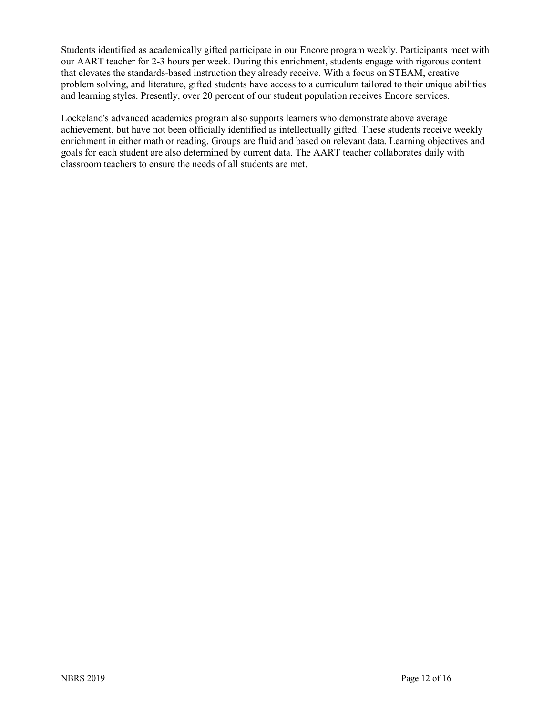Students identified as academically gifted participate in our Encore program weekly. Participants meet with our AART teacher for 2-3 hours per week. During this enrichment, students engage with rigorous content that elevates the standards-based instruction they already receive. With a focus on STEAM, creative problem solving, and literature, gifted students have access to a curriculum tailored to their unique abilities and learning styles. Presently, over 20 percent of our student population receives Encore services.

Lockeland's advanced academics program also supports learners who demonstrate above average achievement, but have not been officially identified as intellectually gifted. These students receive weekly enrichment in either math or reading. Groups are fluid and based on relevant data. Learning objectives and goals for each student are also determined by current data. The AART teacher collaborates daily with classroom teachers to ensure the needs of all students are met.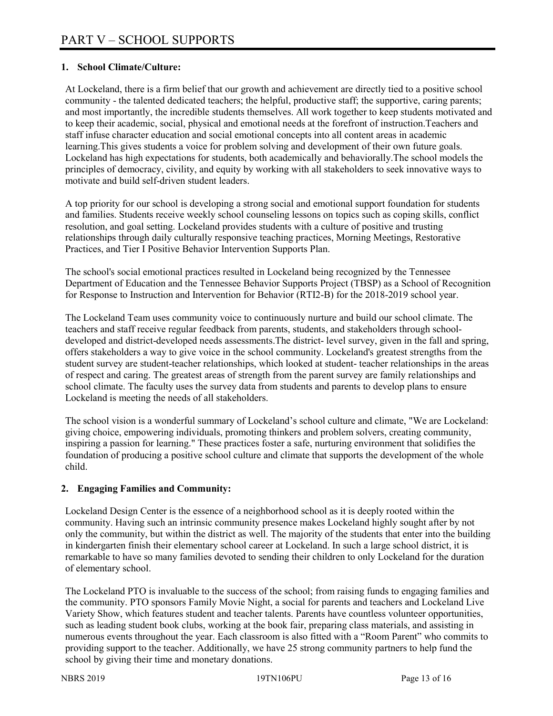# **1. School Climate/Culture:**

At Lockeland, there is a firm belief that our growth and achievement are directly tied to a positive school community - the talented dedicated teachers; the helpful, productive staff; the supportive, caring parents; and most importantly, the incredible students themselves. All work together to keep students motivated and to keep their academic, social, physical and emotional needs at the forefront of instruction.Teachers and staff infuse character education and social emotional concepts into all content areas in academic learning.This gives students a voice for problem solving and development of their own future goals. Lockeland has high expectations for students, both academically and behaviorally.The school models the principles of democracy, civility, and equity by working with all stakeholders to seek innovative ways to motivate and build self-driven student leaders.

A top priority for our school is developing a strong social and emotional support foundation for students and families. Students receive weekly school counseling lessons on topics such as coping skills, conflict resolution, and goal setting. Lockeland provides students with a culture of positive and trusting relationships through daily culturally responsive teaching practices, Morning Meetings, Restorative Practices, and Tier I Positive Behavior Intervention Supports Plan.

The school's social emotional practices resulted in Lockeland being recognized by the Tennessee Department of Education and the Tennessee Behavior Supports Project (TBSP) as a School of Recognition for Response to Instruction and Intervention for Behavior (RTI2-B) for the 2018-2019 school year.

The Lockeland Team uses community voice to continuously nurture and build our school climate. The teachers and staff receive regular feedback from parents, students, and stakeholders through schooldeveloped and district-developed needs assessments.The district- level survey, given in the fall and spring, offers stakeholders a way to give voice in the school community. Lockeland's greatest strengths from the student survey are student-teacher relationships, which looked at student- teacher relationships in the areas of respect and caring. The greatest areas of strength from the parent survey are family relationships and school climate. The faculty uses the survey data from students and parents to develop plans to ensure Lockeland is meeting the needs of all stakeholders.

The school vision is a wonderful summary of Lockeland's school culture and climate, "We are Lockeland: giving choice, empowering individuals, promoting thinkers and problem solvers, creating community, inspiring a passion for learning." These practices foster a safe, nurturing environment that solidifies the foundation of producing a positive school culture and climate that supports the development of the whole child.

# **2. Engaging Families and Community:**

Lockeland Design Center is the essence of a neighborhood school as it is deeply rooted within the community. Having such an intrinsic community presence makes Lockeland highly sought after by not only the community, but within the district as well. The majority of the students that enter into the building in kindergarten finish their elementary school career at Lockeland. In such a large school district, it is remarkable to have so many families devoted to sending their children to only Lockeland for the duration of elementary school.

The Lockeland PTO is invaluable to the success of the school; from raising funds to engaging families and the community. PTO sponsors Family Movie Night, a social for parents and teachers and Lockeland Live Variety Show, which features student and teacher talents. Parents have countless volunteer opportunities, such as leading student book clubs, working at the book fair, preparing class materials, and assisting in numerous events throughout the year. Each classroom is also fitted with a "Room Parent" who commits to providing support to the teacher. Additionally, we have 25 strong community partners to help fund the school by giving their time and monetary donations.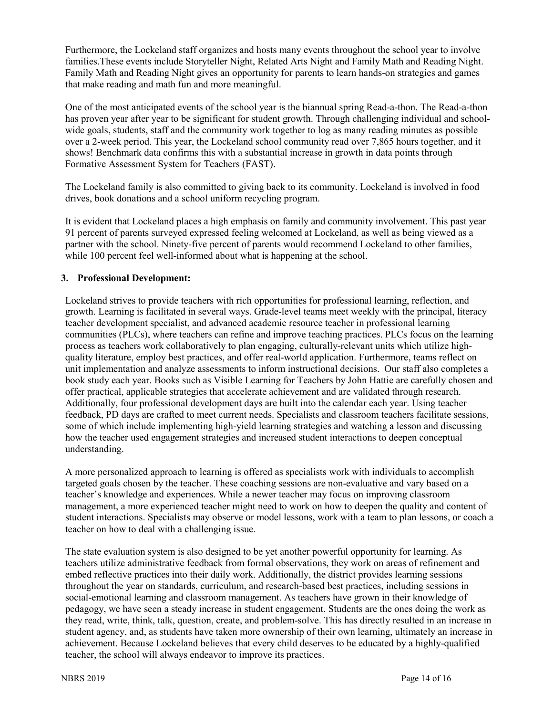Furthermore, the Lockeland staff organizes and hosts many events throughout the school year to involve families.These events include Storyteller Night, Related Arts Night and Family Math and Reading Night. Family Math and Reading Night gives an opportunity for parents to learn hands-on strategies and games that make reading and math fun and more meaningful.

One of the most anticipated events of the school year is the biannual spring Read-a-thon. The Read-a-thon has proven year after year to be significant for student growth. Through challenging individual and schoolwide goals, students, staff and the community work together to log as many reading minutes as possible over a 2-week period. This year, the Lockeland school community read over 7,865 hours together, and it shows! Benchmark data confirms this with a substantial increase in growth in data points through Formative Assessment System for Teachers (FAST).

The Lockeland family is also committed to giving back to its community. Lockeland is involved in food drives, book donations and a school uniform recycling program.

It is evident that Lockeland places a high emphasis on family and community involvement. This past year 91 percent of parents surveyed expressed feeling welcomed at Lockeland, as well as being viewed as a partner with the school. Ninety-five percent of parents would recommend Lockeland to other families, while 100 percent feel well-informed about what is happening at the school.

## **3. Professional Development:**

Lockeland strives to provide teachers with rich opportunities for professional learning, reflection, and growth. Learning is facilitated in several ways. Grade-level teams meet weekly with the principal, literacy teacher development specialist, and advanced academic resource teacher in professional learning communities (PLCs), where teachers can refine and improve teaching practices. PLCs focus on the learning process as teachers work collaboratively to plan engaging, culturally-relevant units which utilize highquality literature, employ best practices, and offer real-world application. Furthermore, teams reflect on unit implementation and analyze assessments to inform instructional decisions. Our staff also completes a book study each year. Books such as Visible Learning for Teachers by John Hattie are carefully chosen and offer practical, applicable strategies that accelerate achievement and are validated through research. Additionally, four professional development days are built into the calendar each year. Using teacher feedback, PD days are crafted to meet current needs. Specialists and classroom teachers facilitate sessions, some of which include implementing high-yield learning strategies and watching a lesson and discussing how the teacher used engagement strategies and increased student interactions to deepen conceptual understanding.

A more personalized approach to learning is offered as specialists work with individuals to accomplish targeted goals chosen by the teacher. These coaching sessions are non-evaluative and vary based on a teacher's knowledge and experiences. While a newer teacher may focus on improving classroom management, a more experienced teacher might need to work on how to deepen the quality and content of student interactions. Specialists may observe or model lessons, work with a team to plan lessons, or coach a teacher on how to deal with a challenging issue.

The state evaluation system is also designed to be yet another powerful opportunity for learning. As teachers utilize administrative feedback from formal observations, they work on areas of refinement and embed reflective practices into their daily work. Additionally, the district provides learning sessions throughout the year on standards, curriculum, and research-based best practices, including sessions in social-emotional learning and classroom management. As teachers have grown in their knowledge of pedagogy, we have seen a steady increase in student engagement. Students are the ones doing the work as they read, write, think, talk, question, create, and problem-solve. This has directly resulted in an increase in student agency, and, as students have taken more ownership of their own learning, ultimately an increase in achievement. Because Lockeland believes that every child deserves to be educated by a highly-qualified teacher, the school will always endeavor to improve its practices.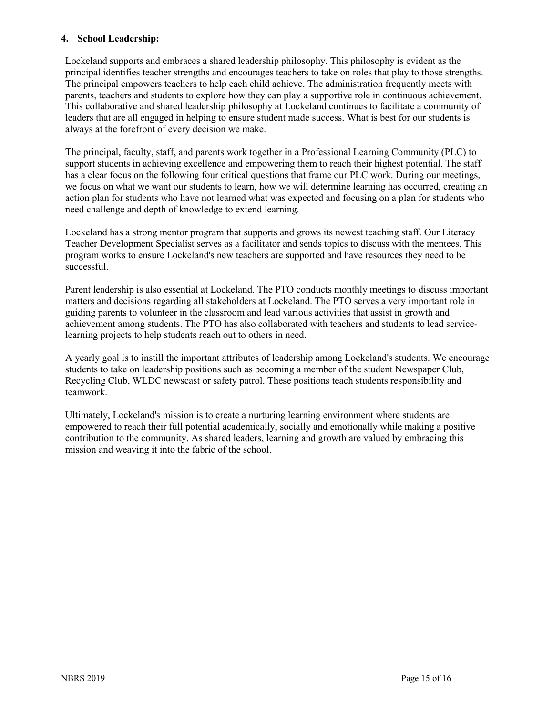## **4. School Leadership:**

Lockeland supports and embraces a shared leadership philosophy. This philosophy is evident as the principal identifies teacher strengths and encourages teachers to take on roles that play to those strengths. The principal empowers teachers to help each child achieve. The administration frequently meets with parents, teachers and students to explore how they can play a supportive role in continuous achievement. This collaborative and shared leadership philosophy at Lockeland continues to facilitate a community of leaders that are all engaged in helping to ensure student made success. What is best for our students is always at the forefront of every decision we make.

The principal, faculty, staff, and parents work together in a Professional Learning Community (PLC) to support students in achieving excellence and empowering them to reach their highest potential. The staff has a clear focus on the following four critical questions that frame our PLC work. During our meetings, we focus on what we want our students to learn, how we will determine learning has occurred, creating an action plan for students who have not learned what was expected and focusing on a plan for students who need challenge and depth of knowledge to extend learning.

Lockeland has a strong mentor program that supports and grows its newest teaching staff. Our Literacy Teacher Development Specialist serves as a facilitator and sends topics to discuss with the mentees. This program works to ensure Lockeland's new teachers are supported and have resources they need to be successful.

Parent leadership is also essential at Lockeland. The PTO conducts monthly meetings to discuss important matters and decisions regarding all stakeholders at Lockeland. The PTO serves a very important role in guiding parents to volunteer in the classroom and lead various activities that assist in growth and achievement among students. The PTO has also collaborated with teachers and students to lead servicelearning projects to help students reach out to others in need.

A yearly goal is to instill the important attributes of leadership among Lockeland's students. We encourage students to take on leadership positions such as becoming a member of the student Newspaper Club, Recycling Club, WLDC newscast or safety patrol. These positions teach students responsibility and teamwork.

Ultimately, Lockeland's mission is to create a nurturing learning environment where students are empowered to reach their full potential academically, socially and emotionally while making a positive contribution to the community. As shared leaders, learning and growth are valued by embracing this mission and weaving it into the fabric of the school.